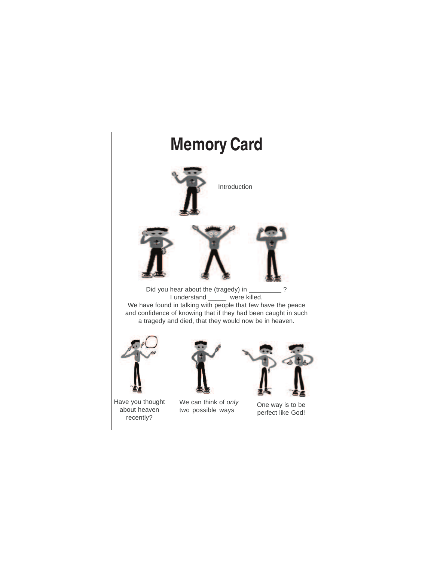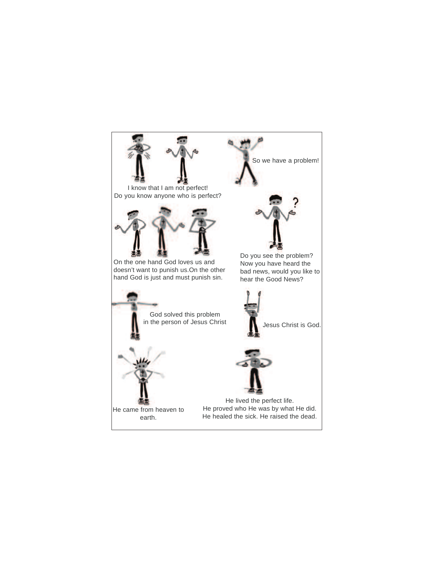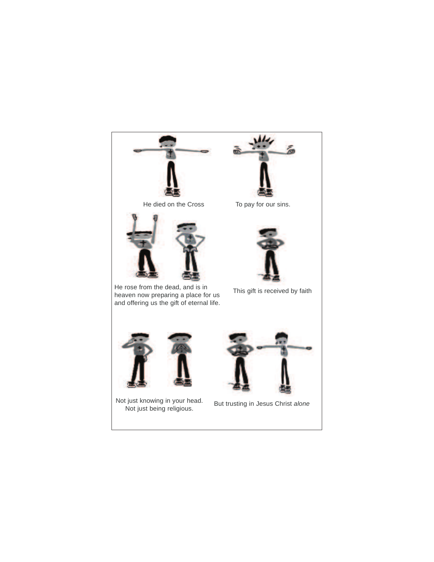

He died on the Cross To pay for our sins.



He rose from the dead, and is in heaven now preparing a place for us and offering us the gift of eternal life.





This gift is received by faith



Not just knowing in your head. Not just being religious.



But trusting in Jesus Christ alone